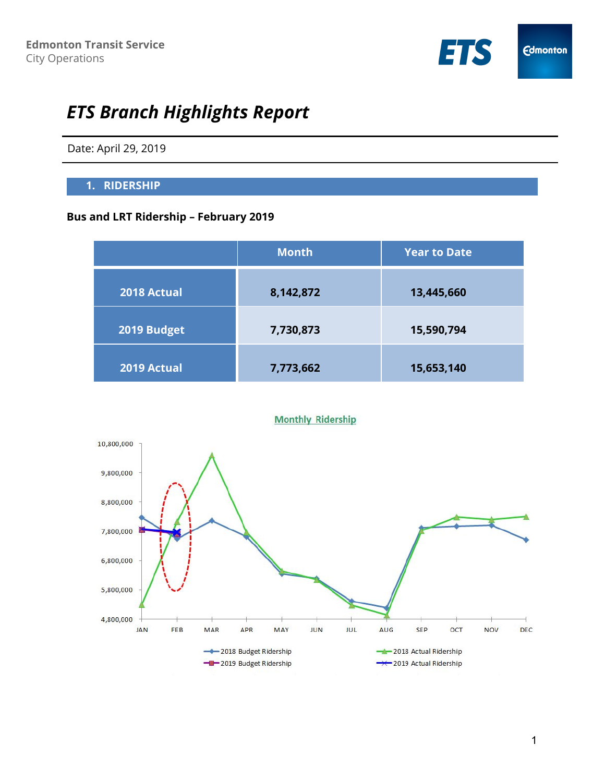

# *ETS Branch Highlights Report*

Date: April 29, 2019

## **1. RIDERSHIP**

## **Bus and LRT Ridership – February 2019**

|             | <b>Month</b> | <b>Year to Date</b> |
|-------------|--------------|---------------------|
| 2018 Actual | 8,142,872    | 13,445,660          |
| 2019 Budget | 7,730,873    | 15,590,794          |
| 2019 Actual | 7,773,662    | 15,653,140          |



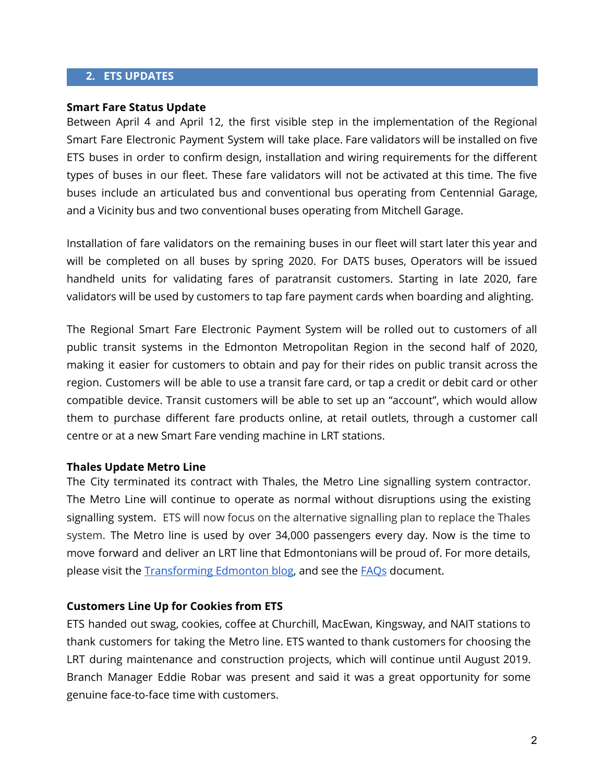## **2. ETS UPDATES**

#### **Smart Fare Status Update**

Between April 4 and April 12, the first visible step in the implementation of the Regional Smart Fare Electronic Payment System will take place. Fare validators will be installed on five ETS buses in order to confirm design, installation and wiring requirements for the different types of buses in our fleet. These fare validators will not be activated at this time. The five buses include an articulated bus and conventional bus operating from Centennial Garage, and a Vicinity bus and two conventional buses operating from Mitchell Garage.

Installation of fare validators on the remaining buses in our fleet will start later this year and will be completed on all buses by spring 2020. For DATS buses, Operators will be issued handheld units for validating fares of paratransit customers. Starting in late 2020, fare validators will be used by customers to tap fare payment cards when boarding and alighting.

The Regional Smart Fare Electronic Payment System will be rolled out to customers of all public transit systems in the Edmonton Metropolitan Region in the second half of 2020, making it easier for customers to obtain and pay for their rides on public transit across the region. Customers will be able to use a transit fare card, or tap a credit or debit card or other compatible device. Transit customers will be able to set up an "account", which would allow them to purchase different fare products online, at retail outlets, through a customer call centre or at a new Smart Fare vending machine in LRT stations.

#### **Thales Update Metro Line**

The City terminated its contract with Thales, the Metro Line signalling system contractor. The Metro Line will continue to operate as normal without disruptions using the existing signalling system. ETS will now focus on the alternative signalling plan to replace the Thales system. The Metro line is used by over 34,000 passengers every day. Now is the time to move forward and deliver an LRT line that Edmontonians will be proud of. For more details, please visit th[e](http://transformingedmonton.ca/metro-line-update-city-issues-termination-notice-to-thales/) [Transforming](http://transformingedmonton.ca/metro-line-update-city-issues-termination-notice-to-thales/) Edmonton blog, and see th[e](https://drive.google.com/open?id=1KG_dQPf8FsxvIhLuFKXMZssgENg4Lnay5RMlVjfPYQE) [FAQs](https://drive.google.com/open?id=1KG_dQPf8FsxvIhLuFKXMZssgENg4Lnay5RMlVjfPYQE) document.

#### **Customers Line Up for Cookies from ETS**

ETS handed out swag, cookies, coffee at Churchill, MacEwan, Kingsway, and NAIT stations to thank customers for taking the Metro line. ETS wanted to thank customers for choosing the LRT during maintenance and construction projects, which will continue until August 2019. Branch Manager Eddie Robar was present and said it was a great opportunity for some genuine face-to-face time with customers.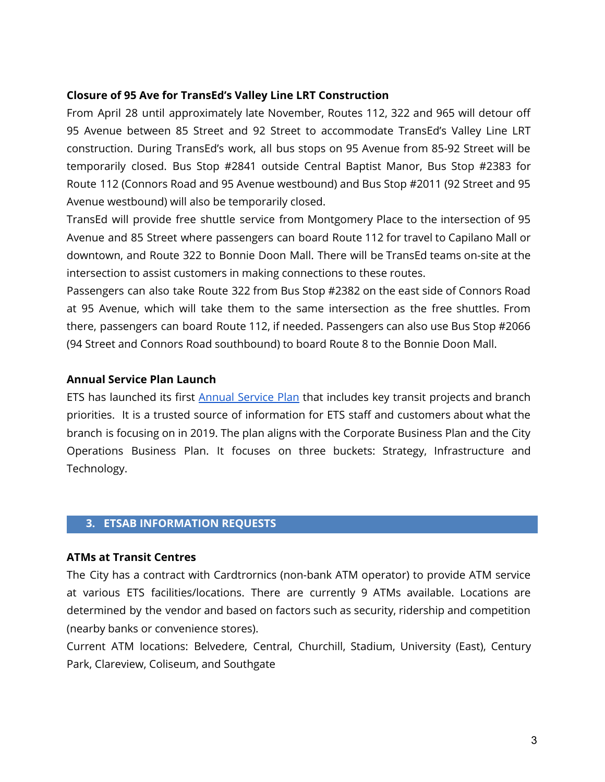## **Closure of 95 Ave for TransEd's Valley Line LRT Construction**

From April 28 until approximately late November, Routes 112, 322 and 965 will detour off 95 Avenue between 85 Street and 92 Street to accommodate TransEd's Valley Line LRT construction. During TransEd's work, all bus stops on 95 Avenue from 85-92 Street will be temporarily closed. Bus Stop #2841 outside Central Baptist Manor, Bus Stop #2383 for Route 112 (Connors Road and 95 Avenue westbound) and Bus Stop #2011 (92 Street and 95 Avenue westbound) will also be temporarily closed.

TransEd will provide free shuttle service from Montgomery Place to the intersection of 95 Avenue and 85 Street where passengers can board Route 112 for travel to Capilano Mall or downtown, and Route 322 to Bonnie Doon Mall. There will be TransEd teams on-site at the intersection to assist customers in making connections to these routes.

Passengers can also take Route 322 from Bus Stop #2382 on the east side of Connors Road at 95 Avenue, which will take them to the same intersection as the free shuttles. From there, passengers can board Route 112, if needed. Passengers can also use Bus Stop #2066 (94 Street and Connors Road southbound) to board Route 8 to the Bonnie Doon Mall.

## **Annual Service Plan Launch**

ETS has launched its first Annual [Service](https://www.edmonton.ca/ets/2018-2019-annual-service-plan.aspx) Plan that includes key transit projects and branch priorities. It is a trusted source of information for ETS staff and customers about what the branch is focusing on in 2019. The plan aligns with the Corporate Business Plan and the City Operations Business Plan. It focuses on three buckets: Strategy, Infrastructure and Technology.

# **3. ETSAB INFORMATION REQUESTS**

# **ATMs at Transit Centres**

The City has a contract with Cardtrornics (non-bank ATM operator) to provide ATM service at various ETS facilities/locations. There are currently 9 ATMs available. Locations are determined by the vendor and based on factors such as security, ridership and competition (nearby banks or convenience stores).

Current ATM locations: Belvedere, Central, Churchill, Stadium, University (East), Century Park, Clareview, Coliseum, and Southgate